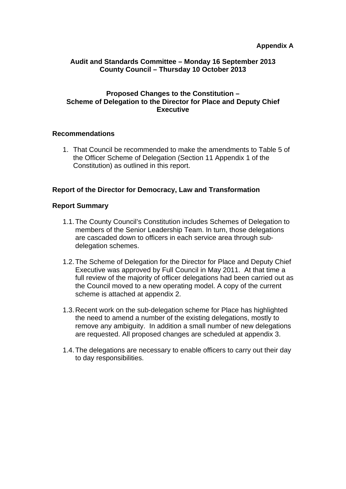### **Audit and Standards Committee – Monday 16 September 2013 County Council – Thursday 10 October 2013**

#### **Proposed Changes to the Constitution – Scheme of Delegation to the Director for Place and Deputy Chief Executive**

#### **Recommendations**

1. That Council be recommended to make the amendments to Table 5 of the Officer Scheme of Delegation (Section 11 Appendix 1 of the Constitution) as outlined in this report.

### **Report of the Director for Democracy, Law and Transformation**

#### **Report Summary**

- 1.1. The County Council's Constitution includes Schemes of Delegation to members of the Senior Leadership Team. In turn, those delegations are cascaded down to officers in each service area through subdelegation schemes.
- 1.2. The Scheme of Delegation for the Director for Place and Deputy Chief Executive was approved by Full Council in May 2011. At that time a full review of the majority of officer delegations had been carried out as the Council moved to a new operating model. A copy of the current scheme is attached at appendix 2.
- 1.3. Recent work on the sub-delegation scheme for Place has highlighted the need to amend a number of the existing delegations, mostly to remove any ambiguity. In addition a small number of new delegations are requested. All proposed changes are scheduled at appendix 3.
- 1.4. The delegations are necessary to enable officers to carry out their day to day responsibilities.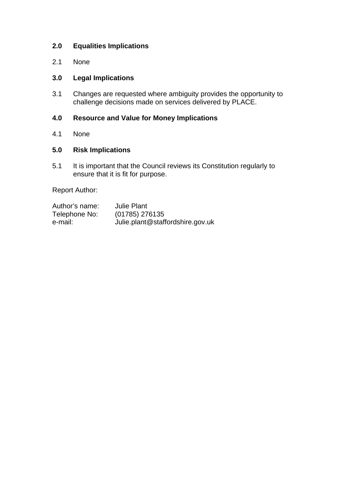# **2.0 Equalities Implications**

2.1 None

# **3.0 Legal Implications**

3.1 Changes are requested where ambiguity provides the opportunity to challenge decisions made on services delivered by PLACE.

# **4.0 Resource and Value for Money Implications**

4.1 None

# **5.0 Risk Implications**

5.1 It is important that the Council reviews its Constitution regularly to ensure that it is fit for purpose.

Report Author:

| Author's name: | <b>Julie Plant</b>               |
|----------------|----------------------------------|
| Telephone No:  | (01785) 276135                   |
| e-mail:        | Julie.plant@staffordshire.gov.uk |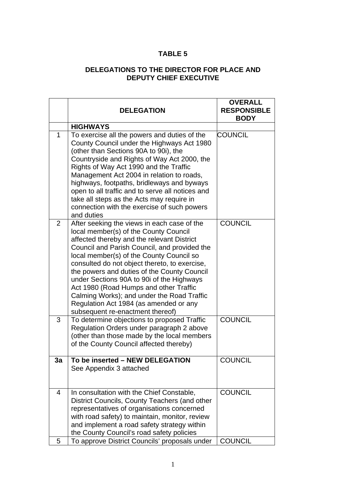# **TABLE 5**

# **DELEGATIONS TO THE DIRECTOR FOR PLACE AND DEPUTY CHIEF EXECUTIVE**

|    | <b>DELEGATION</b>                                                                                                                                                                                                                                                                                                                                                                                                                                                                                                                                 | <b>OVERALL</b><br><b>RESPONSIBLE</b><br><b>BODY</b> |
|----|---------------------------------------------------------------------------------------------------------------------------------------------------------------------------------------------------------------------------------------------------------------------------------------------------------------------------------------------------------------------------------------------------------------------------------------------------------------------------------------------------------------------------------------------------|-----------------------------------------------------|
|    | <b>HIGHWAYS</b>                                                                                                                                                                                                                                                                                                                                                                                                                                                                                                                                   |                                                     |
| 1  | To exercise all the powers and duties of the<br>County Council under the Highways Act 1980<br>(other than Sections 90A to 90i), the<br>Countryside and Rights of Way Act 2000, the<br>Rights of Way Act 1990 and the Traffic<br>Management Act 2004 in relation to roads,<br>highways, footpaths, bridleways and byways<br>open to all traffic and to serve all notices and<br>take all steps as the Acts may require in<br>connection with the exercise of such powers<br>and duties                                                             | <b>COUNCIL</b>                                      |
| 2  | After seeking the views in each case of the<br>local member(s) of the County Council<br>affected thereby and the relevant District<br>Council and Parish Council, and provided the<br>local member(s) of the County Council so<br>consulted do not object thereto, to exercise,<br>the powers and duties of the County Council<br>under Sections 90A to 90i of the Highways<br>Act 1980 (Road Humps and other Traffic<br>Calming Works); and under the Road Traffic<br>Regulation Act 1984 (as amended or any<br>subsequent re-enactment thereof) | <b>COUNCIL</b>                                      |
| 3  | To determine objections to proposed Traffic<br>Regulation Orders under paragraph 2 above<br>(other than those made by the local members<br>of the County Council affected thereby)                                                                                                                                                                                                                                                                                                                                                                | <b>COUNCIL</b>                                      |
| 3a | To be inserted - NEW DELEGATION<br>See Appendix 3 attached                                                                                                                                                                                                                                                                                                                                                                                                                                                                                        | <b>COUNCIL</b>                                      |
| 4  | In consultation with the Chief Constable,<br>District Councils, County Teachers (and other<br>representatives of organisations concerned<br>with road safety) to maintain, monitor, review<br>and implement a road safety strategy within<br>the County Council's road safety policies                                                                                                                                                                                                                                                            | <b>COUNCIL</b>                                      |
| 5  | To approve District Councils' proposals under                                                                                                                                                                                                                                                                                                                                                                                                                                                                                                     | <b>COUNCIL</b>                                      |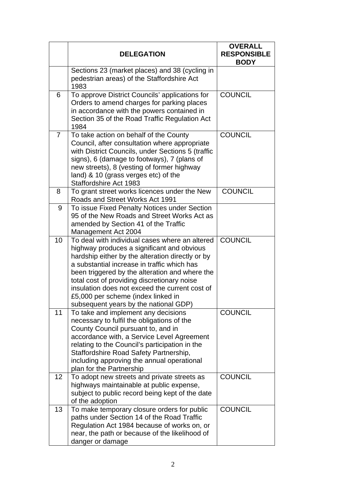|                | <b>DELEGATION</b>                                                                                                                                                                                                                                                                                                                                                                                                                 | <b>OVERALL</b><br><b>RESPONSIBLE</b><br><b>BODY</b> |
|----------------|-----------------------------------------------------------------------------------------------------------------------------------------------------------------------------------------------------------------------------------------------------------------------------------------------------------------------------------------------------------------------------------------------------------------------------------|-----------------------------------------------------|
|                | Sections 23 (market places) and 38 (cycling in<br>pedestrian areas) of the Staffordshire Act<br>1983                                                                                                                                                                                                                                                                                                                              |                                                     |
| 6              | To approve District Councils' applications for<br>Orders to amend charges for parking places<br>in accordance with the powers contained in<br>Section 35 of the Road Traffic Regulation Act<br>1984                                                                                                                                                                                                                               | <b>COUNCIL</b>                                      |
| $\overline{7}$ | To take action on behalf of the County<br>Council, after consultation where appropriate<br>with District Councils, under Sections 5 (traffic<br>signs), 6 (damage to footways), 7 (plans of<br>new streets), 8 (vesting of former highway<br>land) & 10 (grass verges etc) of the<br>Staffordshire Act 1983                                                                                                                       | <b>COUNCIL</b>                                      |
| 8              | To grant street works licences under the New<br>Roads and Street Works Act 1991                                                                                                                                                                                                                                                                                                                                                   | <b>COUNCIL</b>                                      |
| 9              | To issue Fixed Penalty Notices under Section<br>95 of the New Roads and Street Works Act as<br>amended by Section 41 of the Traffic<br>Management Act 2004                                                                                                                                                                                                                                                                        |                                                     |
| 10             | To deal with individual cases where an altered<br>highway produces a significant and obvious<br>hardship either by the alteration directly or by<br>a substantial increase in traffic which has<br>been triggered by the alteration and where the<br>total cost of providing discretionary noise<br>insulation does not exceed the current cost of<br>£5,000 per scheme (index linked in<br>subsequent years by the national GDP) | <b>COUNCIL</b>                                      |
| 11             | To take and implement any decisions<br>necessary to fulfil the obligations of the<br>County Council pursuant to, and in<br>accordance with, a Service Level Agreement<br>relating to the Council's participation in the<br>Staffordshire Road Safety Partnership,<br>including approving the annual operational<br>plan for the Partnership                                                                                       | <b>COUNCIL</b>                                      |
| 12             | To adopt new streets and private streets as<br>highways maintainable at public expense,<br>subject to public record being kept of the date<br>of the adoption                                                                                                                                                                                                                                                                     | <b>COUNCIL</b>                                      |
| 13             | To make temporary closure orders for public<br>paths under Section 14 of the Road Traffic<br>Regulation Act 1984 because of works on, or<br>near, the path or because of the likelihood of<br>danger or damage                                                                                                                                                                                                                    | <b>COUNCIL</b>                                      |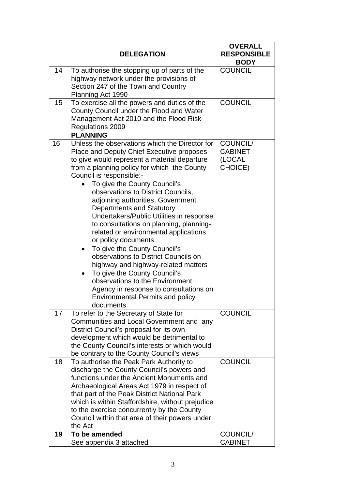|    | <b>DELEGATION</b>                                                                                                                                                                                                                                                                                                                                                                                                                                                                                                                                                                                                                                                                                                                                                                                                | <b>OVERALL</b><br><b>RESPONSIBLE</b><br><b>BODY</b> |
|----|------------------------------------------------------------------------------------------------------------------------------------------------------------------------------------------------------------------------------------------------------------------------------------------------------------------------------------------------------------------------------------------------------------------------------------------------------------------------------------------------------------------------------------------------------------------------------------------------------------------------------------------------------------------------------------------------------------------------------------------------------------------------------------------------------------------|-----------------------------------------------------|
| 14 | To authorise the stopping up of parts of the<br>highway network under the provisions of<br>Section 247 of the Town and Country<br>Planning Act 1990                                                                                                                                                                                                                                                                                                                                                                                                                                                                                                                                                                                                                                                              | <b>COUNCIL</b>                                      |
| 15 | To exercise all the powers and duties of the<br>County Council under the Flood and Water<br>Management Act 2010 and the Flood Risk<br><b>Regulations 2009</b>                                                                                                                                                                                                                                                                                                                                                                                                                                                                                                                                                                                                                                                    | <b>COUNCIL</b>                                      |
|    | <b>PLANNING</b>                                                                                                                                                                                                                                                                                                                                                                                                                                                                                                                                                                                                                                                                                                                                                                                                  |                                                     |
| 16 | Unless the observations which the Director for<br>Place and Deputy Chief Executive proposes<br>to give would represent a material departure<br>from a planning policy for which the County<br>Council is responsible:-<br>To give the County Council's<br>observations to District Councils,<br>adjoining authorities, Government<br><b>Departments and Statutory</b><br>Undertakers/Public Utilities in response<br>to consultations on planning, planning-<br>related or environmental applications<br>or policy documents<br>To give the County Council's<br>$\bullet$<br>observations to District Councils on<br>highway and highway-related matters<br>To give the County Council's<br>observations to the Environment<br>Agency in response to consultations on<br><b>Environmental Permits and policy</b> | COUNCIL/<br><b>CABINET</b><br>(LOCAL<br>CHOICE)     |
|    | documents.                                                                                                                                                                                                                                                                                                                                                                                                                                                                                                                                                                                                                                                                                                                                                                                                       |                                                     |
| 17 | To refer to the Secretary of State for<br>Communities and Local Government and any<br>District Council's proposal for its own<br>development which would be detrimental to<br>the County Council's interests or which would<br>be contrary to the County Council's views                                                                                                                                                                                                                                                                                                                                                                                                                                                                                                                                         | <b>COUNCIL</b>                                      |
| 18 | To authorise the Peak Park Authority to<br>discharge the County Council's powers and<br>functions under the Ancient Monuments and<br>Archaeological Areas Act 1979 in respect of<br>that part of the Peak District National Park<br>which is within Staffordshire, without prejudice<br>to the exercise concurrently by the County<br>Council within that area of their powers under<br>the Act                                                                                                                                                                                                                                                                                                                                                                                                                  | <b>COUNCIL</b>                                      |
| 19 | To be amended<br>See appendix 3 attached                                                                                                                                                                                                                                                                                                                                                                                                                                                                                                                                                                                                                                                                                                                                                                         | COUNCIL/<br><b>CABINET</b>                          |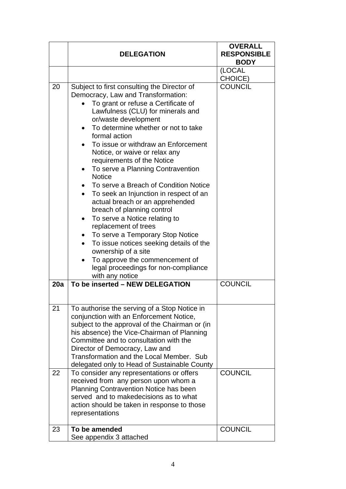|          | <b>DELEGATION</b>                                                                                                                                                                                                                                                                                                                                                                                                                                                                                                                                                                                                                                                                                                                                                                                                                                                                          | <b>OVERALL</b><br><b>RESPONSIBLE</b><br><b>BODY</b> |
|----------|--------------------------------------------------------------------------------------------------------------------------------------------------------------------------------------------------------------------------------------------------------------------------------------------------------------------------------------------------------------------------------------------------------------------------------------------------------------------------------------------------------------------------------------------------------------------------------------------------------------------------------------------------------------------------------------------------------------------------------------------------------------------------------------------------------------------------------------------------------------------------------------------|-----------------------------------------------------|
|          |                                                                                                                                                                                                                                                                                                                                                                                                                                                                                                                                                                                                                                                                                                                                                                                                                                                                                            | (LOCAL<br>CHOICE)                                   |
| 20       | Subject to first consulting the Director of<br>Democracy, Law and Transformation:<br>To grant or refuse a Certificate of<br>Lawfulness (CLU) for minerals and<br>or/waste development<br>To determine whether or not to take<br>formal action<br>To issue or withdraw an Enforcement<br>$\bullet$<br>Notice, or waive or relax any<br>requirements of the Notice<br>To serve a Planning Contravention<br>$\bullet$<br><b>Notice</b><br>To serve a Breach of Condition Notice<br>To seek an Injunction in respect of an<br>$\bullet$<br>actual breach or an apprehended<br>breach of planning control<br>To serve a Notice relating to<br>$\bullet$<br>replacement of trees<br>To serve a Temporary Stop Notice<br>$\bullet$<br>To issue notices seeking details of the<br>ownership of a site<br>To approve the commencement of<br>legal proceedings for non-compliance<br>with any notice | <b>COUNCIL</b>                                      |
| 20a      | To be inserted - NEW DELEGATION                                                                                                                                                                                                                                                                                                                                                                                                                                                                                                                                                                                                                                                                                                                                                                                                                                                            | <b>COUNCIL</b>                                      |
| 21<br>22 | To authorise the serving of a Stop Notice in<br>conjunction with an Enforcement Notice,<br>subject to the approval of the Chairman or (in<br>his absence) the Vice-Chairman of Planning<br>Committee and to consultation with the<br>Director of Democracy, Law and<br>Transformation and the Local Member. Sub<br>delegated only to Head of Sustainable County<br>To consider any representations or offers<br>received from any person upon whom a<br><b>Planning Contravention Notice has been</b><br>served and to makedecisions as to what<br>action should be taken in response to those<br>representations                                                                                                                                                                                                                                                                          | <b>COUNCIL</b>                                      |
| 23       | To be amended<br>See appendix 3 attached                                                                                                                                                                                                                                                                                                                                                                                                                                                                                                                                                                                                                                                                                                                                                                                                                                                   | <b>COUNCIL</b>                                      |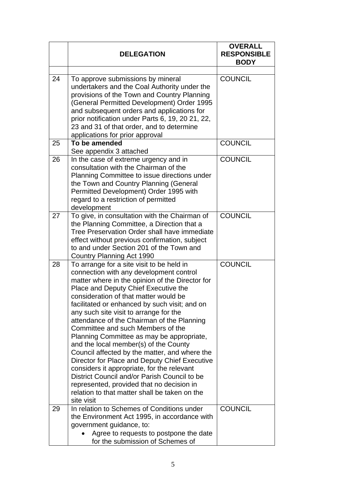|    | <b>DELEGATION</b>                                                                                                                                                                                                                                                                                                                                                                                                                                                                                                                                                                                                                                                                                                                                                                                        | <b>OVERALL</b><br><b>RESPONSIBLE</b><br><b>BODY</b> |
|----|----------------------------------------------------------------------------------------------------------------------------------------------------------------------------------------------------------------------------------------------------------------------------------------------------------------------------------------------------------------------------------------------------------------------------------------------------------------------------------------------------------------------------------------------------------------------------------------------------------------------------------------------------------------------------------------------------------------------------------------------------------------------------------------------------------|-----------------------------------------------------|
| 24 | To approve submissions by mineral<br>undertakers and the Coal Authority under the<br>provisions of the Town and Country Planning<br>(General Permitted Development) Order 1995<br>and subsequent orders and applications for<br>prior notification under Parts 6, 19, 20 21, 22,<br>23 and 31 of that order, and to determine<br>applications for prior approval                                                                                                                                                                                                                                                                                                                                                                                                                                         | <b>COUNCIL</b>                                      |
| 25 | To be amended<br>See appendix 3 attached                                                                                                                                                                                                                                                                                                                                                                                                                                                                                                                                                                                                                                                                                                                                                                 | <b>COUNCIL</b>                                      |
| 26 | In the case of extreme urgency and in<br>consultation with the Chairman of the<br>Planning Committee to issue directions under<br>the Town and Country Planning (General<br>Permitted Development) Order 1995 with<br>regard to a restriction of permitted<br>development                                                                                                                                                                                                                                                                                                                                                                                                                                                                                                                                | <b>COUNCIL</b>                                      |
| 27 | To give, in consultation with the Chairman of<br>the Planning Committee, a Direction that a<br>Tree Preservation Order shall have immediate<br>effect without previous confirmation, subject<br>to and under Section 201 of the Town and<br>Country Planning Act 1990                                                                                                                                                                                                                                                                                                                                                                                                                                                                                                                                    | <b>COUNCIL</b>                                      |
| 28 | To arrange for a site visit to be held in<br>connection with any development control<br>matter where in the opinion of the Director for<br>Place and Deputy Chief Executive the<br>consideration of that matter would be<br>facilitated or enhanced by such visit; and on<br>any such site visit to arrange for the<br>attendance of the Chairman of the Planning<br>Committee and such Members of the<br>Planning Committee as may be appropriate,<br>and the local member(s) of the County<br>Council affected by the matter, and where the<br>Director for Place and Deputy Chief Executive<br>considers it appropriate, for the relevant<br>District Council and/or Parish Council to be<br>represented, provided that no decision in<br>relation to that matter shall be taken on the<br>site visit | <b>COUNCIL</b>                                      |
| 29 | In relation to Schemes of Conditions under<br>the Environment Act 1995, in accordance with<br>government guidance, to:<br>Agree to requests to postpone the date<br>for the submission of Schemes of                                                                                                                                                                                                                                                                                                                                                                                                                                                                                                                                                                                                     | <b>COUNCIL</b>                                      |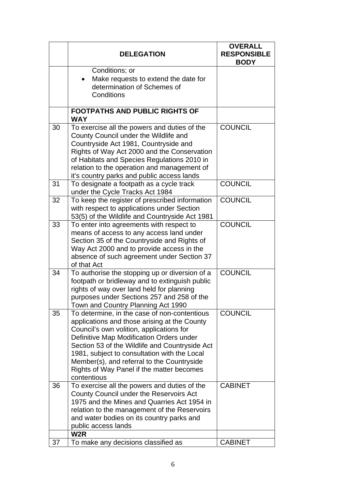| Conditions; or<br>Make requests to extend the date for<br>determination of Schemes of<br>Conditions<br><b>FOOTPATHS AND PUBLIC RIGHTS OF</b><br><b>WAY</b>                                                                                                                                                                                                                                             | <b>COUNCIL</b> |
|--------------------------------------------------------------------------------------------------------------------------------------------------------------------------------------------------------------------------------------------------------------------------------------------------------------------------------------------------------------------------------------------------------|----------------|
|                                                                                                                                                                                                                                                                                                                                                                                                        |                |
|                                                                                                                                                                                                                                                                                                                                                                                                        |                |
| 30<br>To exercise all the powers and duties of the<br>County Council under the Wildlife and<br>Countryside Act 1981, Countryside and<br>Rights of Way Act 2000 and the Conservation<br>of Habitats and Species Regulations 2010 in<br>relation to the operation and management of<br>it's country parks and public access lands                                                                        |                |
| 31<br>To designate a footpath as a cycle track<br>under the Cycle Tracks Act 1984                                                                                                                                                                                                                                                                                                                      | <b>COUNCIL</b> |
| 32<br>To keep the register of prescribed information<br>with respect to applications under Section<br>53(5) of the Wildlife and Countryside Act 1981                                                                                                                                                                                                                                                   | <b>COUNCIL</b> |
| 33<br>To enter into agreements with respect to<br>means of access to any access land under<br>Section 35 of the Countryside and Rights of<br>Way Act 2000 and to provide access in the<br>absence of such agreement under Section 37<br>of that Act                                                                                                                                                    | <b>COUNCIL</b> |
| To authorise the stopping up or diversion of a<br>34<br>footpath or bridleway and to extinguish public<br>rights of way over land held for planning<br>purposes under Sections 257 and 258 of the<br>Town and Country Planning Act 1990                                                                                                                                                                | <b>COUNCIL</b> |
| 35<br>To determine, in the case of non-contentious<br>applications and those arising at the County<br>Council's own volition, applications for<br>Definitive Map Modification Orders under<br>Section 53 of the Wildlife and Countryside Act<br>1981, subject to consultation with the Local<br>Member(s), and referral to the Countryside<br>Rights of Way Panel if the matter becomes<br>contentious | <b>COUNCIL</b> |
| 36<br>To exercise all the powers and duties of the<br>County Council under the Reservoirs Act<br>1975 and the Mines and Quarries Act 1954 in<br>relation to the management of the Reservoirs<br>and water bodies on its country parks and<br>public access lands                                                                                                                                       | <b>CABINET</b> |
| W <sub>2</sub> R<br>To make any decisions classified as<br>37                                                                                                                                                                                                                                                                                                                                          | <b>CABINET</b> |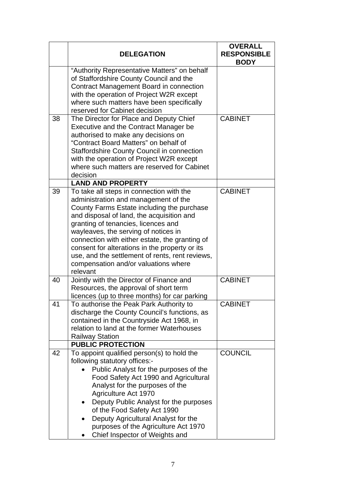|          | <b>DELEGATION</b>                                                                                                                                                                                                                                                                                                                                                                                                                                                                                                                                                                                           | <b>OVERALL</b><br><b>RESPONSIBLE</b><br><b>BODY</b> |
|----------|-------------------------------------------------------------------------------------------------------------------------------------------------------------------------------------------------------------------------------------------------------------------------------------------------------------------------------------------------------------------------------------------------------------------------------------------------------------------------------------------------------------------------------------------------------------------------------------------------------------|-----------------------------------------------------|
|          | "Authority Representative Matters" on behalf<br>of Staffordshire County Council and the<br>Contract Management Board in connection<br>with the operation of Project W2R except<br>where such matters have been specifically<br>reserved for Cabinet decision                                                                                                                                                                                                                                                                                                                                                |                                                     |
| 38       | The Director for Place and Deputy Chief<br>Executive and the Contract Manager be<br>authorised to make any decisions on<br>"Contract Board Matters" on behalf of<br><b>Staffordshire County Council in connection</b><br>with the operation of Project W2R except<br>where such matters are reserved for Cabinet<br>decision                                                                                                                                                                                                                                                                                | <b>CABINET</b>                                      |
|          | <b>LAND AND PROPERTY</b>                                                                                                                                                                                                                                                                                                                                                                                                                                                                                                                                                                                    |                                                     |
| 39<br>40 | To take all steps in connection with the<br>administration and management of the<br>County Farms Estate including the purchase<br>and disposal of land, the acquisition and<br>granting of tenancies, licences and<br>wayleaves, the serving of notices in<br>connection with either estate, the granting of<br>consent for alterations in the property or its<br>use, and the settlement of rents, rent reviews,<br>compensation and/or valuations where<br>relevant<br>Jointly with the Director of Finance and<br>Resources, the approval of short term<br>licences (up to three months) for car parking | <b>CABINET</b><br><b>CABINET</b>                    |
| 41       | To authorise the Peak Park Authority to<br>discharge the County Council's functions, as<br>contained in the Countryside Act 1968, in<br>relation to land at the former Waterhouses<br><b>Railway Station</b>                                                                                                                                                                                                                                                                                                                                                                                                | <b>CABINET</b>                                      |
|          | <b>PUBLIC PROTECTION</b>                                                                                                                                                                                                                                                                                                                                                                                                                                                                                                                                                                                    |                                                     |
| 42       | To appoint qualified person(s) to hold the<br>following statutory offices:-<br>Public Analyst for the purposes of the<br>Food Safety Act 1990 and Agricultural<br>Analyst for the purposes of the<br>Agriculture Act 1970<br>Deputy Public Analyst for the purposes<br>of the Food Safety Act 1990<br>Deputy Agricultural Analyst for the<br>purposes of the Agriculture Act 1970<br>Chief Inspector of Weights and                                                                                                                                                                                         | <b>COUNCIL</b>                                      |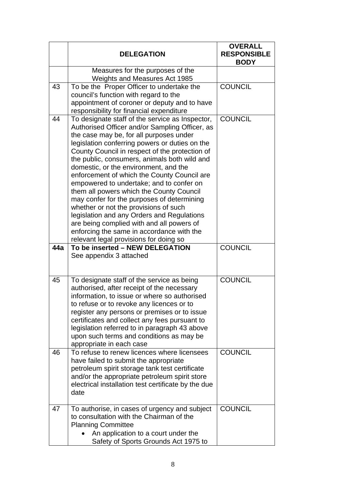|     | <b>DELEGATION</b>                                                                                                                                                                                                                                                                                                                                                                                                                                                                                                                                                                                                                                                                                                                                         | <b>OVERALL</b><br><b>RESPONSIBLE</b><br><b>BODY</b> |  |
|-----|-----------------------------------------------------------------------------------------------------------------------------------------------------------------------------------------------------------------------------------------------------------------------------------------------------------------------------------------------------------------------------------------------------------------------------------------------------------------------------------------------------------------------------------------------------------------------------------------------------------------------------------------------------------------------------------------------------------------------------------------------------------|-----------------------------------------------------|--|
|     | Measures for the purposes of the<br>Weights and Measures Act 1985                                                                                                                                                                                                                                                                                                                                                                                                                                                                                                                                                                                                                                                                                         |                                                     |  |
| 43  | To be the Proper Officer to undertake the<br>council's function with regard to the<br>appointment of coroner or deputy and to have<br>responsibility for financial expenditure                                                                                                                                                                                                                                                                                                                                                                                                                                                                                                                                                                            | <b>COUNCIL</b>                                      |  |
| 44  | To designate staff of the service as Inspector,<br>Authorised Officer and/or Sampling Officer, as<br>the case may be, for all purposes under<br>legislation conferring powers or duties on the<br>County Council in respect of the protection of<br>the public, consumers, animals both wild and<br>domestic, or the environment, and the<br>enforcement of which the County Council are<br>empowered to undertake; and to confer on<br>them all powers which the County Council<br>may confer for the purposes of determining<br>whether or not the provisions of such<br>legislation and any Orders and Regulations<br>are being complied with and all powers of<br>enforcing the same in accordance with the<br>relevant legal provisions for doing so | <b>COUNCIL</b>                                      |  |
| 44a | To be inserted - NEW DELEGATION<br>See appendix 3 attached                                                                                                                                                                                                                                                                                                                                                                                                                                                                                                                                                                                                                                                                                                | <b>COUNCIL</b>                                      |  |
| 45  | To designate staff of the service as being<br>authorised, after receipt of the necessary<br>information, to issue or where so authorised<br>to refuse or to revoke any licences or to<br>register any persons or premises or to issue<br>certificates and collect any fees pursuant to<br>legislation referred to in paragraph 43 above<br>upon such terms and conditions as may be<br>appropriate in each case                                                                                                                                                                                                                                                                                                                                           | <b>COUNCIL</b>                                      |  |
| 46  | To refuse to renew licences where licensees<br>have failed to submit the appropriate<br>petroleum spirit storage tank test certificate<br>and/or the appropriate petroleum spirit store<br>electrical installation test certificate by the due<br>date                                                                                                                                                                                                                                                                                                                                                                                                                                                                                                    | <b>COUNCIL</b>                                      |  |
| 47  | To authorise, in cases of urgency and subject<br>to consultation with the Chairman of the<br><b>Planning Committee</b><br>An application to a court under the<br>Safety of Sports Grounds Act 1975 to                                                                                                                                                                                                                                                                                                                                                                                                                                                                                                                                                     | <b>COUNCIL</b>                                      |  |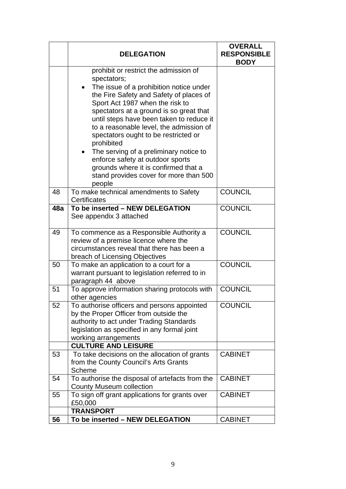|     | <b>DELEGATION</b>                                                                                                                                                                                                                                                                                                                                                                                                                                                                                                                                                         | <b>OVERALL</b><br><b>RESPONSIBLE</b><br><b>BODY</b> |
|-----|---------------------------------------------------------------------------------------------------------------------------------------------------------------------------------------------------------------------------------------------------------------------------------------------------------------------------------------------------------------------------------------------------------------------------------------------------------------------------------------------------------------------------------------------------------------------------|-----------------------------------------------------|
|     | prohibit or restrict the admission of<br>spectators;<br>The issue of a prohibition notice under<br>$\bullet$<br>the Fire Safety and Safety of places of<br>Sport Act 1987 when the risk to<br>spectators at a ground is so great that<br>until steps have been taken to reduce it<br>to a reasonable level, the admission of<br>spectators ought to be restricted or<br>prohibited<br>The serving of a preliminary notice to<br>$\bullet$<br>enforce safety at outdoor sports<br>grounds where it is confirmed that a<br>stand provides cover for more than 500<br>people |                                                     |
| 48  | To make technical amendments to Safety<br>Certificates                                                                                                                                                                                                                                                                                                                                                                                                                                                                                                                    | <b>COUNCIL</b>                                      |
| 48a | To be inserted - NEW DELEGATION<br>See appendix 3 attached                                                                                                                                                                                                                                                                                                                                                                                                                                                                                                                | <b>COUNCIL</b>                                      |
| 49  | To commence as a Responsible Authority a<br>review of a premise licence where the<br>circumstances reveal that there has been a<br>breach of Licensing Objectives                                                                                                                                                                                                                                                                                                                                                                                                         | <b>COUNCIL</b>                                      |
| 50  | To make an application to a court for a<br>warrant pursuant to legislation referred to in<br>paragraph 44 above                                                                                                                                                                                                                                                                                                                                                                                                                                                           | <b>COUNCIL</b>                                      |
| 51  | To approve information sharing protocols with<br>other agencies                                                                                                                                                                                                                                                                                                                                                                                                                                                                                                           | <b>COUNCIL</b>                                      |
| 52  | To authorise officers and persons appointed<br>by the Proper Officer from outside the<br>authority to act under Trading Standards<br>legislation as specified in any formal joint<br>working arrangements<br><b>CULTURE AND LEISURE</b>                                                                                                                                                                                                                                                                                                                                   | <b>COUNCIL</b>                                      |
| 53  | To take decisions on the allocation of grants<br>from the County Council's Arts Grants<br>Scheme                                                                                                                                                                                                                                                                                                                                                                                                                                                                          | <b>CABINET</b>                                      |
| 54  | To authorise the disposal of artefacts from the<br><b>County Museum collection</b>                                                                                                                                                                                                                                                                                                                                                                                                                                                                                        | <b>CABINET</b>                                      |
| 55  | To sign off grant applications for grants over<br>£50,000                                                                                                                                                                                                                                                                                                                                                                                                                                                                                                                 | <b>CABINET</b>                                      |
| 56  | <b>TRANSPORT</b><br>To be inserted - NEW DELEGATION                                                                                                                                                                                                                                                                                                                                                                                                                                                                                                                       | <b>CABINET</b>                                      |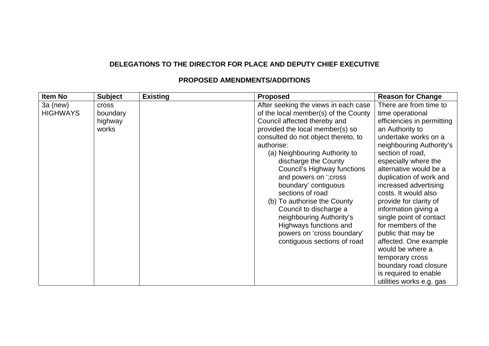## **DELEGATIONS TO THE DIRECTOR FOR PLACE AND DEPUTY CHIEF EXECUTIVE**

| <b>Item No</b>              | <b>Subject</b>                               | <b>Existing</b> | <b>Proposed</b>                                                                                                                                                                                                                                                                                                                                                                                                                                                                                                                                | <b>Reason for Change</b>                                                                                                                                                                                                                                                                                                                                                                                                                                                                                                                                                 |
|-----------------------------|----------------------------------------------|-----------------|------------------------------------------------------------------------------------------------------------------------------------------------------------------------------------------------------------------------------------------------------------------------------------------------------------------------------------------------------------------------------------------------------------------------------------------------------------------------------------------------------------------------------------------------|--------------------------------------------------------------------------------------------------------------------------------------------------------------------------------------------------------------------------------------------------------------------------------------------------------------------------------------------------------------------------------------------------------------------------------------------------------------------------------------------------------------------------------------------------------------------------|
| 3a (new)<br><b>HIGHWAYS</b> | <b>Cross</b><br>boundary<br>highway<br>works |                 | After seeking the views in each case<br>of the local member(s) of the County<br>Council affected thereby and<br>provided the local member(s) so<br>consulted do not object thereto, to<br>authorise:<br>(a) Neighbouring Authority to<br>discharge the County<br>Council's Highway functions<br>and powers on '; cross<br>boundary' contiguous<br>sections of road<br>(b) To authorise the County<br>Council to discharge a<br>neighbouring Authority's<br>Highways functions and<br>powers on 'cross boundary'<br>contiguous sections of road | There are from time to<br>time operational<br>efficiencies in permitting<br>an Authority to<br>undertake works on a<br>neighbouring Authority's<br>section of road,<br>especially where the<br>alternative would be a<br>duplication of work and<br>increased advertising<br>costs. It would also<br>provide for clarity of<br>information giving a<br>single point of contact<br>for members of the<br>public that may be<br>affected. One example<br>would be where a<br>temporary cross<br>boundary road closure<br>is required to enable<br>utilities works e.g. gas |

#### **PROPOSED AMENDMENTS/ADDITIONS**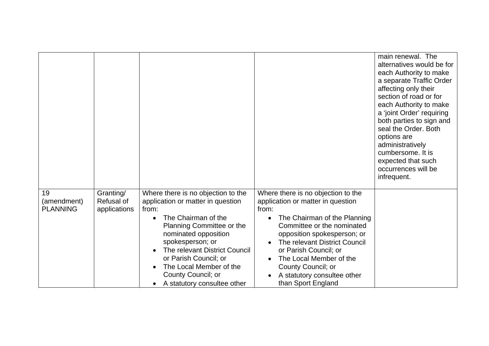|                                      |                                         |                                                                                                                                                                                                                                                                                                                            |                                                                                                                                                                                                                                                                                                                                               | main renewal. The<br>alternatives would be for<br>each Authority to make<br>a separate Traffic Order<br>affecting only their<br>section of road or for<br>each Authority to make<br>a 'joint Order' requiring<br>both parties to sign and<br>seal the Order. Both<br>options are<br>administratively<br>cumbersome. It is<br>expected that such<br>occurrences will be<br>infrequent. |
|--------------------------------------|-----------------------------------------|----------------------------------------------------------------------------------------------------------------------------------------------------------------------------------------------------------------------------------------------------------------------------------------------------------------------------|-----------------------------------------------------------------------------------------------------------------------------------------------------------------------------------------------------------------------------------------------------------------------------------------------------------------------------------------------|---------------------------------------------------------------------------------------------------------------------------------------------------------------------------------------------------------------------------------------------------------------------------------------------------------------------------------------------------------------------------------------|
| 19<br>(amendment)<br><b>PLANNING</b> | Granting/<br>Refusal of<br>applications | Where there is no objection to the<br>application or matter in question<br>from:<br>The Chairman of the<br>Planning Committee or the<br>nominated opposition<br>spokesperson; or<br>The relevant District Council<br>or Parish Council; or<br>The Local Member of the<br>County Council; or<br>A statutory consultee other | Where there is no objection to the<br>application or matter in question<br>from:<br>The Chairman of the Planning<br>Committee or the nominated<br>opposition spokesperson; or<br>The relevant District Council<br>or Parish Council; or<br>The Local Member of the<br>County Council; or<br>A statutory consultee other<br>than Sport England |                                                                                                                                                                                                                                                                                                                                                                                       |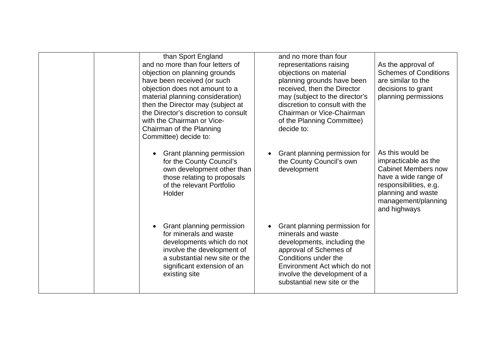|  | than Sport England<br>and no more than four letters of<br>objection on planning grounds<br>have been received (or such<br>objection does not amount to a<br>material planning consideration)<br>then the Director may (subject at<br>the Director's discretion to consult<br>with the Chairman or Vice-<br>Chairman of the Planning<br>Committee) decide to: | and no more than four<br>representations raising<br>objections on material<br>planning grounds have been<br>received, then the Director<br>may (subject to the director's<br>discretion to consult with the<br>Chairman or Vice-Chairman<br>of the Planning Committee)<br>decide to: | As the approval of<br><b>Schemes of Conditions</b><br>are similar to the<br>decisions to grant<br>planning permissions                                                                |
|--|--------------------------------------------------------------------------------------------------------------------------------------------------------------------------------------------------------------------------------------------------------------------------------------------------------------------------------------------------------------|--------------------------------------------------------------------------------------------------------------------------------------------------------------------------------------------------------------------------------------------------------------------------------------|---------------------------------------------------------------------------------------------------------------------------------------------------------------------------------------|
|  | Grant planning permission<br>$\bullet$<br>for the County Council's<br>own development other than<br>those relating to proposals<br>of the relevant Portfolio<br>Holder                                                                                                                                                                                       | Grant planning permission for<br>the County Council's own<br>development                                                                                                                                                                                                             | As this would be<br>impracticable as the<br><b>Cabinet Members now</b><br>have a wide range of<br>responsibilities, e.g.<br>planning and waste<br>management/planning<br>and highways |
|  | Grant planning permission<br>$\bullet$<br>for minerals and waste<br>developments which do not<br>involve the development of<br>a substantial new site or the<br>significant extension of an<br>existing site                                                                                                                                                 | Grant planning permission for<br>minerals and waste<br>developments, including the<br>approval of Schemes of<br>Conditions under the<br>Environment Act which do not<br>involve the development of a<br>substantial new site or the                                                  |                                                                                                                                                                                       |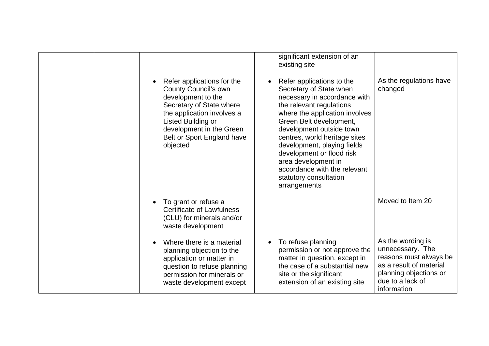|  |                                                                                                                                                                                                                                                    | significant extension of an<br>existing site                                                                                                                                                                                                                                                                                                                                                            |                                                                                                                                                         |
|--|----------------------------------------------------------------------------------------------------------------------------------------------------------------------------------------------------------------------------------------------------|---------------------------------------------------------------------------------------------------------------------------------------------------------------------------------------------------------------------------------------------------------------------------------------------------------------------------------------------------------------------------------------------------------|---------------------------------------------------------------------------------------------------------------------------------------------------------|
|  | Refer applications for the<br>$\bullet$<br><b>County Council's own</b><br>development to the<br>Secretary of State where<br>the application involves a<br>Listed Building or<br>development in the Green<br>Belt or Sport England have<br>objected | Refer applications to the<br>Secretary of State when<br>necessary in accordance with<br>the relevant regulations<br>where the application involves<br>Green Belt development,<br>development outside town<br>centres, world heritage sites<br>development, playing fields<br>development or flood risk<br>area development in<br>accordance with the relevant<br>statutory consultation<br>arrangements | As the regulations have<br>changed                                                                                                                      |
|  | To grant or refuse a<br>$\bullet$<br><b>Certificate of Lawfulness</b><br>(CLU) for minerals and/or<br>waste development                                                                                                                            |                                                                                                                                                                                                                                                                                                                                                                                                         | Moved to Item 20                                                                                                                                        |
|  | Where there is a material<br>planning objection to the<br>application or matter in<br>question to refuse planning<br>permission for minerals or<br>waste development except                                                                        | To refuse planning<br>permission or not approve the<br>matter in question, except in<br>the case of a substantial new<br>site or the significant<br>extension of an existing site                                                                                                                                                                                                                       | As the wording is<br>unnecessary. The<br>reasons must always be<br>as a result of material<br>planning objections or<br>due to a lack of<br>information |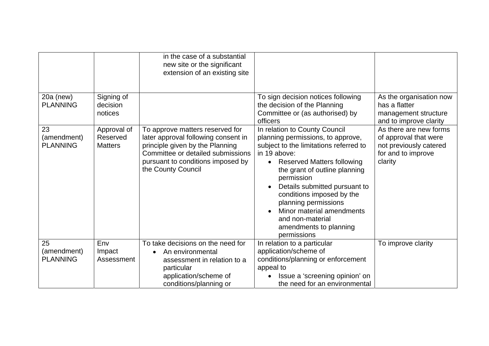|                                      |                                           | in the case of a substantial<br>new site or the significant<br>extension of an existing site                                                                                                              |                                                                                                                                                                                                                                                                                                                                                                                                  |                                                                                                            |
|--------------------------------------|-------------------------------------------|-----------------------------------------------------------------------------------------------------------------------------------------------------------------------------------------------------------|--------------------------------------------------------------------------------------------------------------------------------------------------------------------------------------------------------------------------------------------------------------------------------------------------------------------------------------------------------------------------------------------------|------------------------------------------------------------------------------------------------------------|
| 20a (new)<br><b>PLANNING</b>         | Signing of<br>decision<br>notices         |                                                                                                                                                                                                           | To sign decision notices following<br>the decision of the Planning<br>Committee or (as authorised) by<br>officers                                                                                                                                                                                                                                                                                | As the organisation now<br>has a flatter<br>management structure<br>and to improve clarity                 |
| 23<br>(amendment)<br><b>PLANNING</b> | Approval of<br>Reserved<br><b>Matters</b> | To approve matters reserved for<br>later approval following consent in<br>principle given by the Planning<br>Committee or detailed submissions<br>pursuant to conditions imposed by<br>the County Council | In relation to County Council<br>planning permissions, to approve,<br>subject to the limitations referred to<br>in 19 above:<br><b>Reserved Matters following</b><br>the grant of outline planning<br>permission<br>Details submitted pursuant to<br>conditions imposed by the<br>planning permissions<br>Minor material amendments<br>and non-material<br>amendments to planning<br>permissions | As there are new forms<br>of approval that were<br>not previously catered<br>for and to improve<br>clarity |
| 25<br>(amendment)<br><b>PLANNING</b> | Env<br>Impact<br>Assessment               | To take decisions on the need for<br>An environmental<br>assessment in relation to a<br>particular<br>application/scheme of<br>conditions/planning or                                                     | In relation to a particular<br>application/scheme of<br>conditions/planning or enforcement<br>appeal to<br>Issue a 'screening opinion' on<br>the need for an environmental                                                                                                                                                                                                                       | To improve clarity                                                                                         |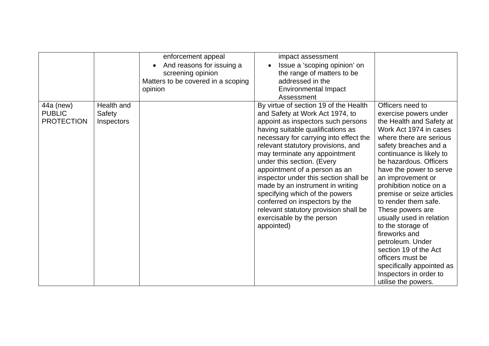|                                                 |                                    | enforcement appeal<br>And reasons for issuing a<br>screening opinion<br>Matters to be covered in a scoping<br>opinion | impact assessment<br>Issue a 'scoping opinion' on<br>the range of matters to be<br>addressed in the<br><b>Environmental Impact</b><br>Assessment                                                                                                                                                                                                                                                                                                                                                                                                                         |                                                                                                                                                                                                                                                                                                                                                                                                                                                                                                                                                                                |
|-------------------------------------------------|------------------------------------|-----------------------------------------------------------------------------------------------------------------------|--------------------------------------------------------------------------------------------------------------------------------------------------------------------------------------------------------------------------------------------------------------------------------------------------------------------------------------------------------------------------------------------------------------------------------------------------------------------------------------------------------------------------------------------------------------------------|--------------------------------------------------------------------------------------------------------------------------------------------------------------------------------------------------------------------------------------------------------------------------------------------------------------------------------------------------------------------------------------------------------------------------------------------------------------------------------------------------------------------------------------------------------------------------------|
| 44a (new)<br><b>PUBLIC</b><br><b>PROTECTION</b> | Health and<br>Safety<br>Inspectors |                                                                                                                       | By virtue of section 19 of the Health<br>and Safety at Work Act 1974, to<br>appoint as inspectors such persons<br>having suitable qualifications as<br>necessary for carrying into effect the<br>relevant statutory provisions, and<br>may terminate any appointment<br>under this section. (Every<br>appointment of a person as an<br>inspector under this section shall be<br>made by an instrument in writing<br>specifying which of the powers<br>conferred on inspectors by the<br>relevant statutory provision shall be<br>exercisable by the person<br>appointed) | Officers need to<br>exercise powers under<br>the Health and Safety at<br>Work Act 1974 in cases<br>where there are serious<br>safety breaches and a<br>continuance is likely to<br>be hazardous. Officers<br>have the power to serve<br>an improvement or<br>prohibition notice on a<br>premise or seize articles<br>to render them safe.<br>These powers are<br>usually used in relation<br>to the storage of<br>fireworks and<br>petroleum. Under<br>section 19 of the Act<br>officers must be<br>specifically appointed as<br>Inspectors in order to<br>utilise the powers. |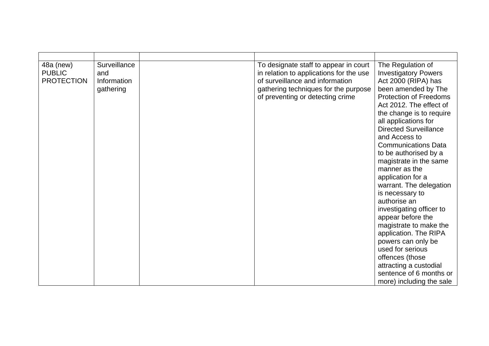| 48a (new)<br><b>PUBLIC</b><br><b>PROTECTION</b> | Surveillance<br>and<br>Information<br>gathering | To designate staff to appear in court<br>in relation to applications for the use<br>of surveillance and information<br>gathering techniques for the purpose<br>of preventing or detecting crime | The Regulation of<br><b>Investigatory Powers</b><br>Act 2000 (RIPA) has<br>been amended by The<br><b>Protection of Freedoms</b><br>Act 2012. The effect of<br>the change is to require<br>all applications for<br><b>Directed Surveillance</b><br>and Access to<br><b>Communications Data</b><br>to be authorised by a<br>magistrate in the same<br>manner as the<br>application for a<br>warrant. The delegation<br>is necessary to<br>authorise an<br>investigating officer to<br>appear before the<br>magistrate to make the<br>application. The RIPA<br>powers can only be<br>used for serious<br>offences (those<br>attracting a custodial<br>sentence of 6 months or<br>more) including the sale |
|-------------------------------------------------|-------------------------------------------------|-------------------------------------------------------------------------------------------------------------------------------------------------------------------------------------------------|--------------------------------------------------------------------------------------------------------------------------------------------------------------------------------------------------------------------------------------------------------------------------------------------------------------------------------------------------------------------------------------------------------------------------------------------------------------------------------------------------------------------------------------------------------------------------------------------------------------------------------------------------------------------------------------------------------|